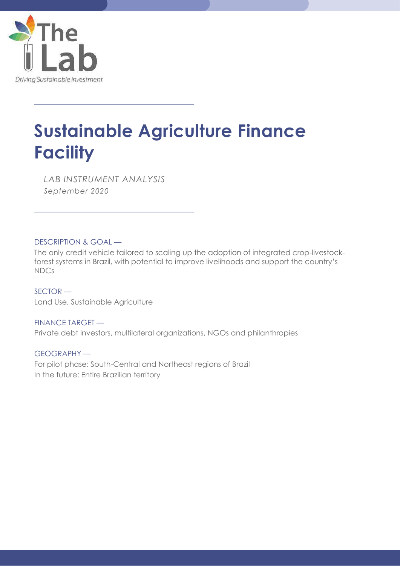

 $\overline{a}$ 

 $\overline{a}$ 

# Sustainable Agriculture Finance **Facility**

LAB INSTRUMENT ANALYSIS September 2020

DESCRIPTION & GOAL —

The only credit vehicle tailored to scaling up the adoption of integrated crop-livestockforest systems in Brazil, with potential to improve livelihoods and support the country's NDCs

SECTOR — Land Use, Sustainable Agriculture

FINANCE TARGET — Private debt investors, multilateral organizations, NGOs and philanthropies

GEOGRAPHY — For pilot phase: South-Central and Northeast regions of Brazil In the future: Entire Brazilian territory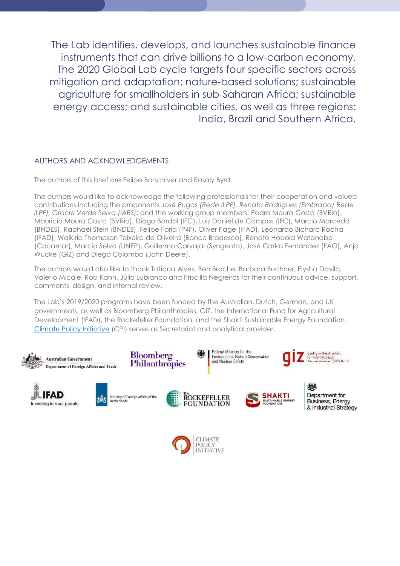The Lab identifies, develops, and launches sustainable finance instruments that can drive billions to a low-carbon economy. The 2020 Global Lab cycle targets four specific sectors across mitigation and adaptation: nature-based solutions; sustainable agriculture for smallholders in sub-Saharan Africa; sustainable energy access; and sustainable cities, as well as three regions: India, Brazil and Southern Africa.

### AUTHORS AND ACKNOWLEDGEMENTS

The authors of this brief are Felipe Borschiver and Rosaly Byrd.

The authors would like to acknowledge the following professionals for their cooperation and valued contributions including the proponents José Pugas (Rede ILPF), Renato Rodrigues (Embrapa/ Rede ILPF), Gracie Verde Selva (IABS); and the working group members: Pedro Moura Costa (BVRio), Mauricio Moura Costa (BVRio), Diogo Bardal (IFC), Luiz Daniel de Campos (IFC), Marcio Marcedo (BNDES), Raphael Stein (BNDES), Felipe Faria (P4F), Oliver Page (IFAD), Leonardo Bichara Rocha (IFAD), Walkiria Thompson Teixeira de Oliveira (Banco Bradesco), Renato Hobold Watanabe (Cocamar), Marcio Selva (UNEP), Guillermo Carvajal (Syngenta), José Carlos Fernández (FAO), Anja Wucke (GIZ) and Diego Colombo (John Deere).

The authors would also like to thank Tatiana Alves, Ben Broche, Barbara Buchner, Elysha Davila, Valerio Micale, Rob Kahn, Júlio Lubianco and Priscilla Negreiros for their continuous advice, support, comments, design, and internal review.

The Lab's 2019/2020 programs have been funded by the Australian, Dutch, German, and UK governments, as well as Bloomberg Philanthropies, GIZ, the International Fund for Agricultural Development (IFAD), the Rockefeller Foundation, and the Shakti Sustainable Energy Foundation. Climate Policy Initiative (CPI) serves as Secretariat and analytical provider.





Ministry of Foreign Affairs of the Netherlands





Federal Ministry for the

Environment, Nature Conservation<br>and Nuclear Safety



Deutsche Gesellschaft für Internationale<br>Zusammenarbeit (GIZ) 6mbH

> 微 Department for **Business, Energy** & Industrial Strategy

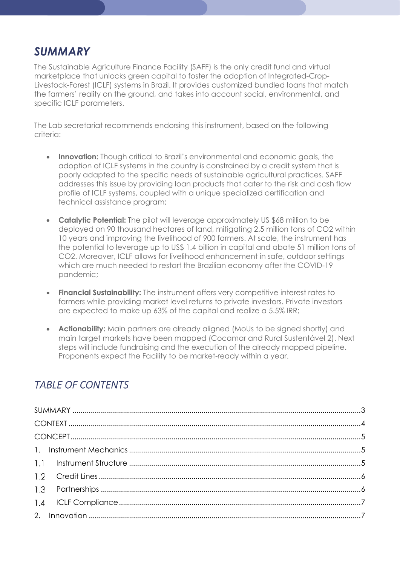## SUMMARY

The Sustainable Agriculture Finance Facility (SAFF) is the only credit fund and virtual marketplace that unlocks green capital to foster the adoption of Integrated-Crop-Livestock-Forest (ICLF) systems in Brazil. It provides customized bundled loans that match the farmers' reality on the ground, and takes into account social, environmental, and specific ICLF parameters.

The Lab secretariat recommends endorsing this instrument, based on the following criteria:

- **Innovation:** Though critical to Brazil's environmental and economic goals, the adoption of ICLF systems in the country is constrained by a credit system that is poorly adapted to the specific needs of sustainable agricultural practices. SAFF addresses this issue by providing loan products that cater to the risk and cash flow profile of ICLF systems, coupled with a unique specialized certification and technical assistance program;
- Catalytic Potential: The pilot will leverage approximately US \$68 million to be deployed on 90 thousand hectares of land, mitigating 2.5 million tons of CO2 within 10 years and improving the livelihood of 900 farmers. At scale, the instrument has the potential to leverage up to US\$ 1.4 billion in capital and abate 51 million tons of CO2. Moreover, ICLF allows for livelihood enhancement in safe, outdoor settings which are much needed to restart the Brazilian economy after the COVID-19 pandemic;
- Financial Sustainability: The instrument offers very competitive interest rates to farmers while providing market level returns to private investors. Private investors are expected to make up 63% of the capital and realize a 5.5% IRR;
- **Actionability:** Main partners are already aligned (MoUs to be signed shortly) and main target markets have been mapped (Cocamar and Rural Sustentável 2). Next steps will include fundraising and the execution of the already mapped pipeline. Proponents expect the Facility to be market-ready within a year.

### TABLE OF CONTENTS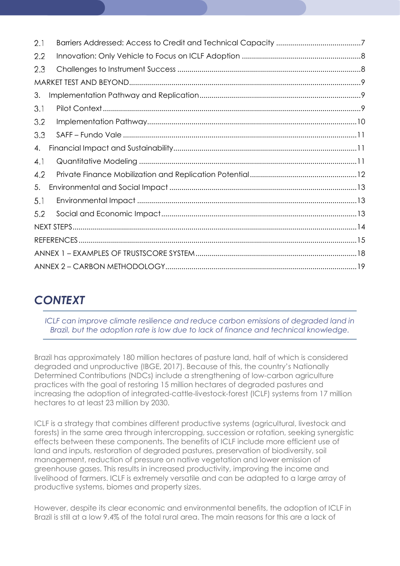| 2.1 |  |
|-----|--|
| 2.2 |  |
| 2.3 |  |
|     |  |
| 3.  |  |
| 3.1 |  |
| 3.2 |  |
| 3.3 |  |
| 4.  |  |
| 4.1 |  |
| 4.2 |  |
| 5.  |  |
| 5.1 |  |
| 5.2 |  |
|     |  |
|     |  |
|     |  |
|     |  |

## **CONTEXT**

ICLF can improve climate resilience and reduce carbon emissions of degraded land in Brazil, but the adoption rate is low due to lack of finance and technical knowledge.

Brazil has approximately 180 million hectares of pasture land, half of which is considered degraded and unproductive (IBGE, 2017). Because of this, the country's Nationally Determined Contributions (NDCs) include a strengthening of low-carbon agriculture practices with the goal of restoring 15 million hectares of degraded pastures and increasing the adoption of integrated-cattle-livestock-forest (ICLF) systems from 17 million hectares to at least 23 million by 2030.

ICLF is a strategy that combines different productive systems (agricultural, livestock and forests) in the same area through intercropping, succession or rotation, seeking synergistic effects between these components. The benefits of ICLF include more efficient use of land and inputs, restoration of degraded pastures, preservation of biodiversity, soil management, reduction of pressure on native vegetation and lower emission of greenhouse gases. This results in increased productivity, improving the income and livelihood of farmers. ICLF is extremely versatile and can be adapted to a large array of productive systems, biomes and property sizes.

However, despite its clear economic and environmental benefits, the adoption of ICLF in Brazil is still at a low 9.4% of the total rural area. The main reasons for this are a lack of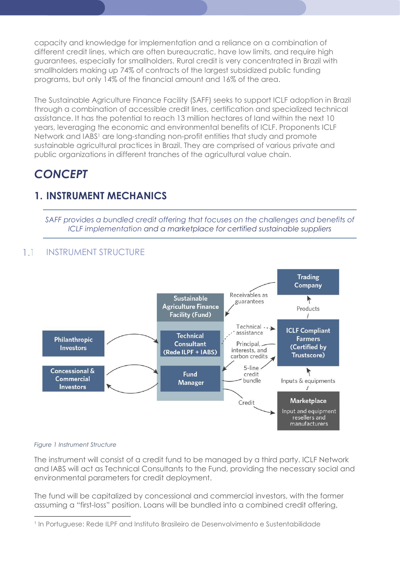capacity and knowledge for implementation and a reliance on a combination of different credit lines, which are often bureaucratic, have low limits, and require high guarantees, especially for smallholders. Rural credit is very concentrated in Brazil with smallholders making up 74% of contracts of the largest subsidized public funding programs, but only 14% of the financial amount and 16% of the area.

The Sustainable Agriculture Finance Facility (SAFF) seeks to support ICLF adoption in Brazil through a combination of accessible credit lines, certification and specialized technical assistance. It has the potential to reach 13 million hectares of land within the next 10 years, leveraging the economic and environmental benefits of ICLF. Proponents ICLF Network and IABS<sup>1</sup> are long-standing non-profit entities that study and promote sustainable agricultural practices in Brazil. They are comprised of various private and public organizations in different tranches of the agricultural value chain.

## **CONCEPT**

## 1. INSTRUMENT MECHANICS

SAFF provides a bundled credit offering that focuses on the challenges and benefits of ICLF implementation and a marketplace for certified sustainable suppliers

#### $1.1$ INSTRUMENT STRUCTURE



### Figure 1 Instrument Structure

-

The instrument will consist of a credit fund to be managed by a third party. ICLF Network and IABS will act as Technical Consultants to the Fund, providing the necessary social and environmental parameters for credit deployment.

The fund will be capitalized by concessional and commercial investors, with the former assuming a "first-loss" position. Loans will be bundled into a combined credit offering,

<sup>&</sup>lt;sup>1</sup> In Portuguese: Rede ILPF and Instituto Brasileiro de Desenvolvimento e Sustentabilidade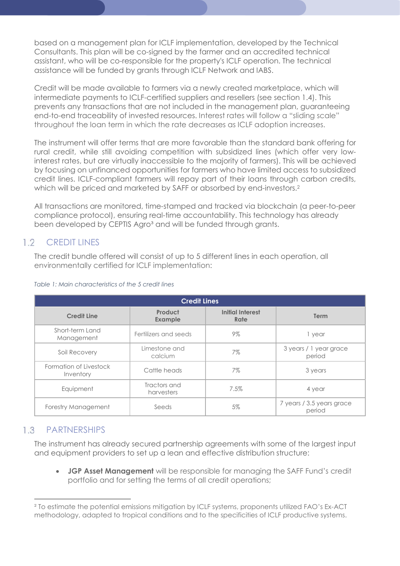based on a management plan for ICLF implementation, developed by the Technical Consultants. This plan will be co-signed by the farmer and an accredited technical assistant, who will be co-responsible for the property's ICLF operation. The technical assistance will be funded by grants through ICLF Network and IABS.

Credit will be made available to farmers via a newly created marketplace, which will intermediate payments to ICLF-certified suppliers and resellers (see section 1.4). This prevents any transactions that are not included in the management plan, guaranteeing end-to-end traceability of invested resources. Interest rates will follow a "sliding scale" throughout the loan term in which the rate decreases as ICLF adoption increases.

The instrument will offer terms that are more favorable than the standard bank offering for rural credit, while still avoiding competition with subsidized lines (which offer very lowinterest rates, but are virtually inaccessible to the majority of farmers). This will be achieved by focusing on unfinanced opportunities for farmers who have limited access to subsidized credit lines. ICLF-compliant farmers will repay part of their loans through carbon credits, which will be priced and marketed by SAFF or absorbed by end-investors.<sup>2</sup>

All transactions are monitored, time-stamped and tracked via blockchain (a peer-to-peer compliance protocol), ensuring real-time accountability. This technology has already been developed by CEPTIS Agro<sup>3</sup> and will be funded through grants.

#### $1.2$ CREDIT LINES

The credit bundle offered will consist of up to 5 different lines in each operation, all environmentally certified for ICLF implementation:

| <b>Credit Lines</b>                 |                            |                                 |                                     |  |  |
|-------------------------------------|----------------------------|---------------------------------|-------------------------------------|--|--|
| <b>Credit Line</b>                  | Product<br><b>Example</b>  | <b>Initial Interest</b><br>Rate | Term                                |  |  |
| Short-term Land<br>Management       | Fertilizers and seeds      | $9\%$                           | 1 year                              |  |  |
| Soil Recovery                       | Limestone and<br>calcium   | 7%                              | 3 years / 1 year grace<br>period    |  |  |
| Formation of Livestock<br>Inventory | Cattle heads               | 7%                              | 3 years                             |  |  |
| Equipment                           | Tractors and<br>harvesters | 7.5%                            | 4 year                              |  |  |
| Forestry Management                 | Seeds                      | 5%                              | 7 years / 3.5 years grace<br>period |  |  |

### Table 1: Main characteristics of the 5 credit lines

### 1.3 PARTNERSHIPS

-

The instrument has already secured partnership agreements with some of the largest input and equipment providers to set up a lean and effective distribution structure:

• JGP Asset Management will be responsible for managing the SAFF Fund's credit portfolio and for setting the terms of all credit operations;

² To estimate the potential emissions mitigation by ICLF systems, proponents utilized FAO's Ex-ACT methodology, adapted to tropical conditions and to the specificities of ICLF productive systems.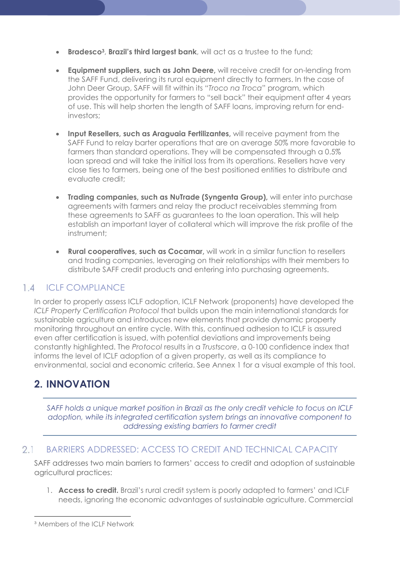- Bradesco<sup>3</sup>, Brazil's third largest bank, will act as a trustee to the fund;
- Equipment suppliers, such as John Deere, will receive credit for on-lending from the SAFF Fund, delivering its rural equipment directly to farmers. In the case of John Deer Group, SAFF will fit within its "Troco na Troca" program, which provides the opportunity for farmers to "sell back" their equipment after 4 years of use. This will help shorten the length of SAFF loans, improving return for endinvestors;
- Input Resellers, such as Araguaia Fertilizantes, will receive payment from the SAFF Fund to relay barter operations that are on average 50% more favorable to farmers than standard operations. They will be compensated through a 0.5% loan spread and will take the initial loss from its operations. Resellers have very close ties to farmers, being one of the best positioned entities to distribute and evaluate credit;
- Trading companies, such as NuTrade (Syngenta Group), will enter into purchase agreements with farmers and relay the product receivables stemming from these agreements to SAFF as guarantees to the loan operation. This will help establish an important layer of collateral which will improve the risk profile of the instrument;
- Rural cooperatives, such as Cocamar, will work in a similar function to resellers and trading companies, leveraging on their relationships with their members to distribute SAFF credit products and entering into purchasing agreements.

### 1.4 ICLF COMPLIANCE

In order to properly assess ICLF adoption, ICLF Network (proponents) have developed the ICLF Property Certification Protocol that builds upon the main international standards for sustainable agriculture and introduces new elements that provide dynamic property monitoring throughout an entire cycle. With this, continued adhesion to ICLF is assured even after certification is issued, with potential deviations and improvements being constantly highlighted. The Protocol results in a Trustscore, a 0-100 confidence index that informs the level of ICLF adoption of a given property, as well as its compliance to environmental, social and economic criteria. See Annex 1 for a visual example of this tool.

## 2. INNOVATION

SAFF holds a unique market position in Brazil as the only credit vehicle to focus on ICLF adoption, while its integrated certification system brings an innovative component to addressing existing barriers to farmer credit

#### $2.1$ BARRIERS ADDRESSED: ACCESS TO CREDIT AND TECHNICAL CAPACITY

SAFF addresses two main barriers to farmers' access to credit and adoption of sustainable agricultural practices:

1. **Access to credit.** Brazil's rural credit system is poorly adapted to farmers' and ICLF needs, ignoring the economic advantages of sustainable agriculture. Commercial

-

<sup>&</sup>lt;sup>3</sup> Members of the ICLF Network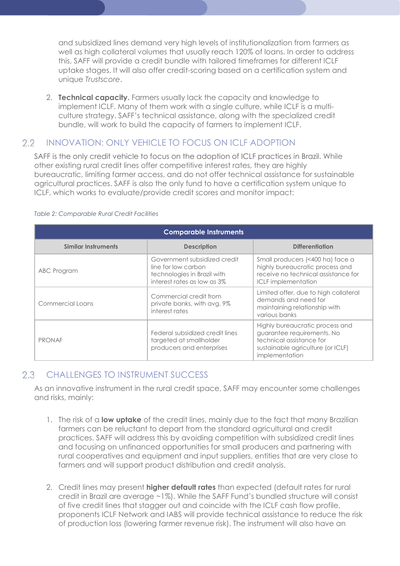and subsidized lines demand very high levels of institutionalization from farmers as well as high collateral volumes that usually reach 120% of loans. In order to address this, SAFF will provide a credit bundle with tailored timeframes for different ICLF uptake stages. It will also offer credit-scoring based on a certification system and unique Trustscore.

2. **Technical capacity.** Farmers usually lack the capacity and knowledge to implement ICLF. Many of them work with a single culture, while ICLF is a multiculture strategy. SAFF's technical assistance, along with the specialized credit bundle, will work to build the capacity of farmers to implement ICLF.

#### $2.2$ INNOVATION: ONLY VEHICLE TO FOCUS ON ICLF ADOPTION

SAFF is the only credit vehicle to focus on the adoption of ICLF practices in Brazil. While other existing rural credit lines offer competitive interest rates, they are highly bureaucratic, limiting farmer access, and do not offer technical assistance for sustainable agricultural practices. SAFF is also the only fund to have a certification system unique to ICLF, which works to evaluate/provide credit scores and monitor impact:

| <b>Comparable Instruments</b> |                                                                                                                   |                                                                                                                                                  |  |  |  |
|-------------------------------|-------------------------------------------------------------------------------------------------------------------|--------------------------------------------------------------------------------------------------------------------------------------------------|--|--|--|
| <b>Similar Instruments</b>    | <b>Description</b>                                                                                                | <b>Differentiation</b>                                                                                                                           |  |  |  |
| ABC Program                   | Government subsidized credit<br>line for low carbon<br>technologies in Brazil with<br>interest rates as low as 3% | Small producers (<400 ha) face a<br>highly bureaucratic process and<br>receive no technical assistance for<br><b>ICLF</b> implementation         |  |  |  |
| Commercial Loans              | Commercial credit from<br>private banks, with avg. 9%<br>interest rates                                           | Limited offer, due to high collateral<br>demands and need for<br>maintaining relationship with<br>various banks                                  |  |  |  |
| <b>PRONAF</b>                 | Federal subsidized credit lines<br>targeted at smallholder<br>producers and enterprises                           | Highly bureaucratic process and<br>guarantee requirements. No<br>technical assistance for<br>sustainable agriculture (or ICLF)<br>implementation |  |  |  |

### Table 2: Comparable Rural Credit Facilities

#### 2.3 CHALLENGES TO INSTRUMENT SUCCESS

As an innovative instrument in the rural credit space, SAFF may encounter some challenges and risks, mainly:

- 1. The risk of a low uptake of the credit lines, mainly due to the fact that many Brazilian farmers can be reluctant to depart from the standard agricultural and credit practices. SAFF will address this by avoiding competition with subsidized credit lines and focusing on unfinanced opportunities for small producers and partnering with rural cooperatives and equipment and input suppliers, entities that are very close to farmers and will support product distribution and credit analysis.
- 2. Credit lines may present higher default rates than expected (default rates for rural credit in Brazil are average ~1%). While the SAFF Fund's bundled structure will consist of five credit lines that stagger out and coincide with the ICLF cash flow profile, proponents ICLF Network and IABS will provide technical assistance to reduce the risk of production loss (lowering farmer revenue risk). The instrument will also have an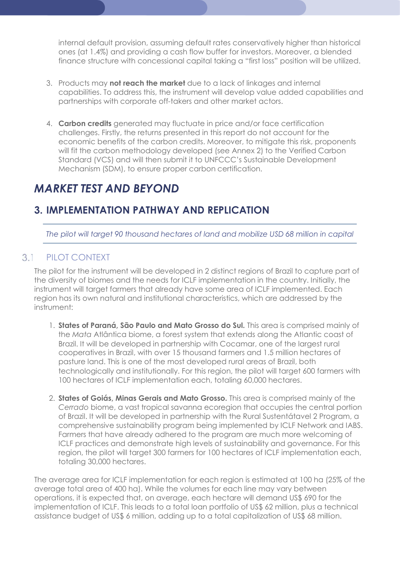internal default provision, assuming default rates conservatively higher than historical ones (at 1.4%) and providing a cash flow buffer for investors. Moreover, a blended finance structure with concessional capital taking a "first loss" position will be utilized.

- 3. Products may not reach the market due to a lack of linkages and internal capabilities. To address this, the instrument will develop value added capabilities and partnerships with corporate off-takers and other market actors.
- 4. **Carbon credits** generated may fluctuate in price and/or face certification challenges. Firstly, the returns presented in this report do not account for the economic benefits of the carbon credits. Moreover, to mitigate this risk, proponents will fit the carbon methodology developed (see Annex 2) to the Verified Carbon Standard (VCS) and will then submit it to UNFCCC's Sustainable Development Mechanism (SDM), to ensure proper carbon certification.

## MARKET TEST AND BEYOND

## 3. IMPLEMENTATION PATHWAY AND REPLICATION

The pilot will target 90 thousand hectares of land and mobilize USD 68 million in capital

#### $3.1$ PILOT CONTEXT

The pilot for the instrument will be developed in 2 distinct regions of Brazil to capture part of the diversity of biomes and the needs for ICLF implementation in the country. Initially, the instrument will target farmers that already have some area of ICLF implemented. Each region has its own natural and institutional characteristics, which are addressed by the instrument:

- 1. States of Paraná, São Paulo and Mato Grosso do Sul. This area is comprised mainly of the Mata Atlântica biome, a forest system that extends along the Atlantic coast of Brazil. It will be developed in partnership with Cocamar, one of the largest rural cooperatives in Brazil, with over 15 thousand farmers and 1.5 million hectares of pasture land. This is one of the most developed rural areas of Brazil, both technologically and institutionally. For this region, the pilot will target 600 farmers with 100 hectares of ICLF implementation each, totaling 60,000 hectares.
- 2. States of Goiás, Minas Gerais and Mato Grosso. This area is comprised mainly of the Cerrado biome, a vast tropical savanna ecoregion that occupies the central portion of Brazil. It will be developed in partnership with the Rural Sustentátavel 2 Program, a comprehensive sustainability program being implemented by ICLF Network and IABS. Farmers that have already adhered to the program are much more welcoming of ICLF practices and demonstrate high levels of sustainability and governance. For this region, the pilot will target 300 farmers for 100 hectares of ICLF implementation each, totaling 30,000 hectares.

The average area for ICLF implementation for each region is estimated at 100 ha (25% of the average total area of 400 ha). While the volumes for each line may vary between operations, it is expected that, on average, each hectare will demand US\$ 690 for the implementation of ICLF. This leads to a total loan portfolio of US\$ 62 million, plus a technical assistance budget of US\$ 6 million, adding up to a total capitalization of US\$ 68 million.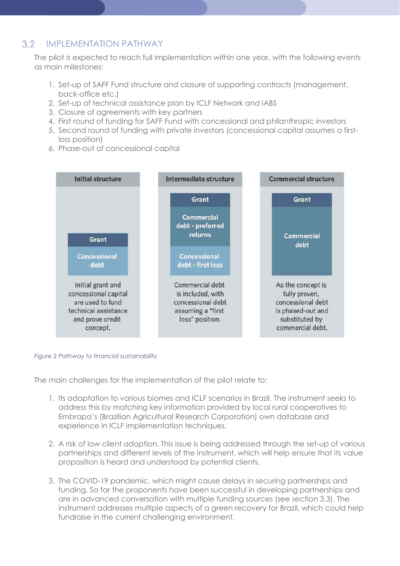#### $3.2$ IMPLEMENTATION PATHWAY

The pilot is expected to reach full implementation within one year, with the following events as main milestones:

- 1. Set-up of SAFF Fund structure and closure of supporting contracts (management, back-office etc.)
- 2. Set-up of technical assistance plan by ICLF Network and IABS
- 3. Closure of agreements with key partners
- 4. First round of funding for SAFF Fund with concessional and philanthropic investors
- 5. Second round of funding with private investors (concessional capital assumes a firstloss position)
- 6. Phase-out of concessional capital



### Figure 2 Pathway to financial sustainability

The main challenges for the implementation of the pilot relate to:

- 1. Its adaptation to various biomes and ICLF scenarios in Brazil. The instrument seeks to address this by matching key information provided by local rural cooperatives to Embrapa's (Brazilian Agricultural Research Corporation) own database and experience in ICLF implementation techniques.
- 2. A risk of low client adoption. This issue is being addressed through the set-up of various partnerships and different levels of the instrument, which will help ensure that its value proposition is heard and understood by potential clients.
- 3. The COVID-19 pandemic, which might cause delays in securing partnerships and funding. So far the proponents have been successful in developing partnerships and are in advanced conversation with multiple funding sources (see section 3.3). The instrument addresses multiple aspects of a green recovery for Brazil, which could help fundraise in the current challenging environment.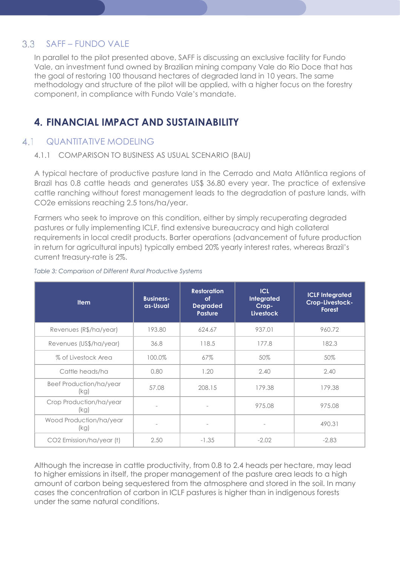#### $3.3$ SAFF – FUNDO VALE

In parallel to the pilot presented above, SAFF is discussing an exclusive facility for Fundo Vale, an investment fund owned by Brazilian mining company Vale do Rio Doce that has the goal of restoring 100 thousand hectares of degraded land in 10 years. The same methodology and structure of the pilot will be applied, with a higher focus on the forestry component, in compliance with Fundo Vale's mandate.

## 4. FINANCIAL IMPACT AND SUSTAINABILITY

### 4.1 QUANTITATIVE MODELING

### 4.1.1 COMPARISON TO BUSINESS AS USUAL SCENARIO (BAU)

A typical hectare of productive pasture land in the Cerrado and Mata Atlântica regions of Brazil has 0.8 cattle heads and generates US\$ 36.80 every year. The practice of extensive cattle ranching without forest management leads to the degradation of pasture lands, with CO2e emissions reaching 2.5 tons/ha/year.

Farmers who seek to improve on this condition, either by simply recuperating degraded pastures or fully implementing ICLF, find extensive bureaucracy and high collateral requirements in local credit products. Barter operations (advancement of future production in return for agricultural inputs) typically embed 20% yearly interest rates, whereas Brazil's current treasury-rate is 2%.

| <b>Item</b>                            | <b>Business-</b><br>as-Usual | <b>Restoration</b><br>οf<br><b>Degraded</b><br><b>Pasture</b> | <b>ICL</b><br><b>Integrated</b><br>Crop-<br><b>Livestock</b> | <b>ICLF Integrated</b><br>Crop-Livestock-<br>Forest |
|----------------------------------------|------------------------------|---------------------------------------------------------------|--------------------------------------------------------------|-----------------------------------------------------|
| Revenues (R\$/ha/year)                 | 193.80                       | 624.67                                                        | 937.01                                                       | 960.72                                              |
| Revenues (US\$/ha/year)                | 36.8                         | 118.5                                                         | 177.8                                                        | 182.3                                               |
| % of Livestock Area                    | 100.0%                       | 67%                                                           | 50%                                                          | 50%                                                 |
| Cattle heads/ha                        | 0.80                         | 1.20                                                          | 2.40                                                         | 2.40                                                |
| <b>Beef Production/ha/year</b><br>(kg) | 57.08                        | 208.15                                                        | 179.38                                                       | 179.38                                              |
| Crop Production/ha/year<br>(kg)        |                              |                                                               | 975.08                                                       | 975.08                                              |
| Wood Production/ha/year<br>(kg)        |                              | $\overline{\phantom{a}}$                                      |                                                              | 490.31                                              |
| CO2 Emission/ha/year (t)               | 2.50                         | $-1.35$                                                       | $-2.02$                                                      | $-2,83$                                             |

### Table 3: Comparison of Different Rural Productive Systems

Although the increase in cattle productivity, from 0.8 to 2.4 heads per hectare, may lead to higher emissions in itself, the proper management of the pasture area leads to a high amount of carbon being sequestered from the atmosphere and stored in the soil. In many cases the concentration of carbon in ICLF pastures is higher than in indigenous forests under the same natural conditions.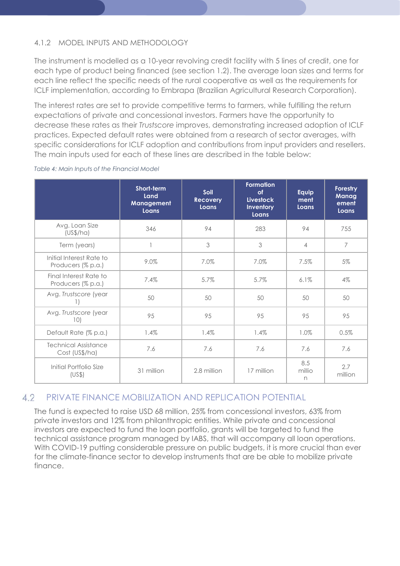### 4.1.2 MODEL INPUTS AND METHODOLOGY

The instrument is modelled as a 10-year revolving credit facility with 5 lines of credit, one for each type of product being financed (see section 1.2). The average loan sizes and terms for each line reflect the specific needs of the rural cooperative as well as the requirements for ICLF implementation, according to Embrapa (Brazilian Agricultural Research Corporation).

The interest rates are set to provide competitive terms to farmers, while fulfilling the return expectations of private and concessional investors. Farmers have the opportunity to decrease these rates as their Trustscore improves, demonstrating increased adoption of ICLF practices. Expected default rates were obtained from a research of sector averages, with specific considerations for ICLF adoption and contributions from input providers and resellers. The main inputs used for each of these lines are described in the table below:

|                                                | Short-term<br>Land<br>Management<br>Loans | Soil<br><b>Recovery</b><br>Loans | <b>Formation</b><br>of<br><b>Livestock</b><br>Inventory<br>Loans | Equip<br>ment<br>Loans | Forestry<br>Manag<br>ement<br>Loans |
|------------------------------------------------|-------------------------------------------|----------------------------------|------------------------------------------------------------------|------------------------|-------------------------------------|
| Avg. Loan Size<br>(US\$/ha)                    | 346                                       | 94                               | 283                                                              | 94                     | 755                                 |
| Term (years)                                   |                                           | 3                                | 3                                                                | 4                      | $\overline{7}$                      |
| Initial Interest Rate to<br>Producers (% p.a.) | 9.0%                                      | 7.0%                             | 7.0%                                                             | 7.5%                   | 5%                                  |
| Final Interest Rate to<br>Producers (% p.a.)   | 7.4%                                      | 5.7%                             | 5.7%                                                             | 6.1%                   | 4%                                  |
| Avg. Trustscore (year                          | 50                                        | 50                               | 50                                                               | 50                     | 50                                  |
| Avg. Trustscore (year<br>10)                   | 95                                        | 95                               | 95                                                               | 95                     | 95                                  |
| Default Rate (% p.a.)                          | 1.4%                                      | 1.4%                             | 1.4%                                                             | 1.0%                   | 0.5%                                |
| <b>Technical Assistance</b><br>Cost (US\$/ha)  | 7.6                                       | 7.6                              | 7.6                                                              | 7.6                    | 7.6                                 |
| Initial Portfolio Size<br>(US\$)               | 31 million                                | 2.8 million                      | 17 million                                                       | 8.5<br>millio<br>n     | 2.7<br>million                      |

### Table 4: Main Inputs of the Financial Model

#### 4.2 PRIVATE FINANCE MOBILIZATION AND REPLICATION POTENTIAL

The fund is expected to raise USD 68 million, 25% from concessional investors, 63% from private investors and 12% from philanthropic entities. While private and concessional investors are expected to fund the loan portfolio, grants will be targeted to fund the technical assistance program managed by IABS, that will accompany all loan operations. With COVID-19 putting considerable pressure on public budgets, it is more crucial than ever for the climate-finance sector to develop instruments that are be able to mobilize private finance.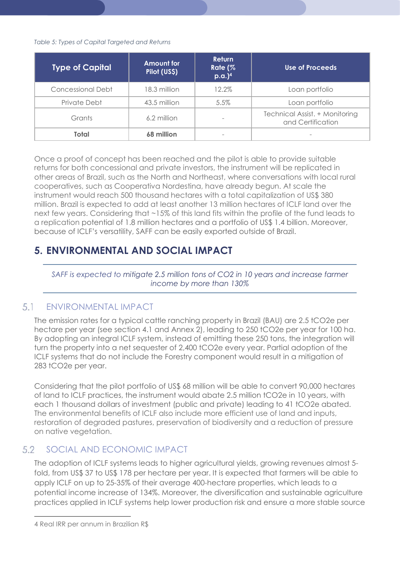### Table 5: Types of Capital Targeted and Returns

| <b>Type of Capital</b> | <b>Amount for</b><br>Pilot (US\$) | <b>Return</b><br>Rate (%<br>$p.a.$ <sup>4</sup> | Use of Proceeds                                     |
|------------------------|-----------------------------------|-------------------------------------------------|-----------------------------------------------------|
| Concessional Debt      | 18.3 million                      | 12.2%                                           | Loan portfolio                                      |
| Private Debt           | 43.5 million                      | 5.5%                                            | Loan portfolio                                      |
| Grants                 | 6.2 million                       |                                                 | Technical Assist. + Monitoring<br>and Certification |
| Total                  | 68 million                        | -                                               | $\sim$                                              |

Once a proof of concept has been reached and the pilot is able to provide suitable returns for both concessional and private investors, the instrument will be replicated in other areas of Brazil, such as the North and Northeast, where conversations with local rural cooperatives, such as Cooperativa Nordestina, have already begun. At scale the instrument would reach 500 thousand hectares with a total capitalization of US\$ 380 million. Brazil is expected to add at least another 13 million hectares of ICLF land over the next few years. Considering that ~15% of this land fits within the profile of the fund leads to a replication potential of 1.8 million hectares and a portfolio of US\$ 1.4 billion. Moreover, because of ICLF's versatility, SAFF can be easily exported outside of Brazil.

## 5. ENVIRONMENTAL AND SOCIAL IMPACT

SAFF is expected to mitigate 2.5 million tons of CO2 in 10 years and increase farmer income by more than 130%

#### 5 1 ENVIRONMENTAL IMPACT

The emission rates for a typical cattle ranching property in Brazil (BAU) are 2.5 tCO2e per hectare per year (see section 4.1 and Annex 2), leading to 250 tCO2e per year for 100 ha. By adopting an integral ICLF system, instead of emitting these 250 tons, the integration will turn the property into a net sequester of 2,400 tCO2e every year. Partial adoption of the ICLF systems that do not include the Forestry component would result in a mitigation of 283 tCO2e per year.

Considering that the pilot portfolio of US\$ 68 million will be able to convert 90,000 hectares of land to ICLF practices, the instrument would abate 2.5 million tCO2e in 10 years, with each 1 thousand dollars of investment (public and private) leading to 41 tCO2e abated. The environmental benefits of ICLF also include more efficient use of land and inputs, restoration of degraded pastures, preservation of biodiversity and a reduction of pressure on native vegetation.

#### 5.2 SOCIAL AND ECONOMIC IMPACT

The adoption of ICLF systems leads to higher agricultural yields, growing revenues almost 5 fold, from US\$ 37 to US\$ 178 per hectare per year. It is expected that farmers will be able to apply ICLF on up to 25-35% of their average 400-hectare properties, which leads to a potential income increase of 134%. Moreover, the diversification and sustainable agriculture practices applied in ICLF systems help lower production risk and ensure a more stable source

-

<sup>4</sup> Real IRR per annum in Brazilian R\$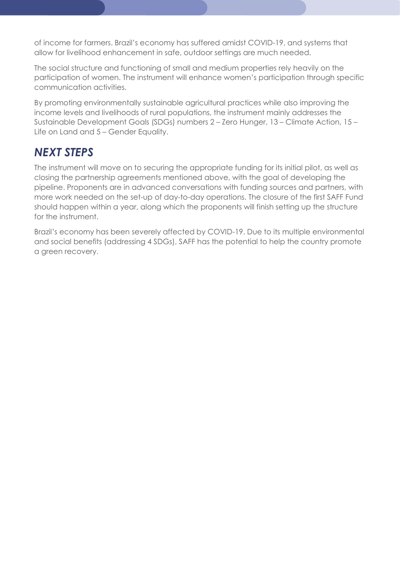of income for farmers. Brazil's economy has suffered amidst COVID-19, and systems that allow for livelihood enhancement in safe, outdoor settings are much needed.

The social structure and functioning of small and medium properties rely heavily on the participation of women. The instrument will enhance women's participation through specific communication activities.

By promoting environmentally sustainable agricultural practices while also improving the income levels and livelihoods of rural populations, the instrument mainly addresses the Sustainable Development Goals (SDGs) numbers 2 – Zero Hunger, 13 – Climate Action, 15 – Life on Land and 5 – Gender Equality.

## NEXT STEPS

The instrument will move on to securing the appropriate funding for its initial pilot, as well as closing the partnership agreements mentioned above, with the goal of developing the pipeline. Proponents are in advanced conversations with funding sources and partners, with more work needed on the set-up of day-to-day operations. The closure of the first SAFF Fund should happen within a year, along which the proponents will finish setting up the structure for the instrument.

Brazil's economy has been severely affected by COVID-19. Due to its multiple environmental and social benefits (addressing 4 SDGs), SAFF has the potential to help the country promote a green recovery.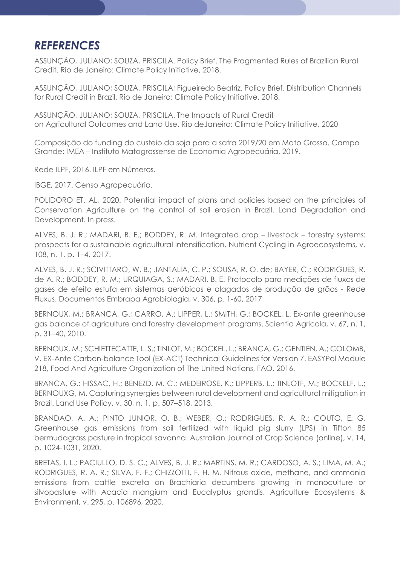## **REFERENCES**

ASSUNÇÃO, JULIANO; SOUZA, PRISCILA. Policy Brief. The Fragmented Rules of Brazilian Rural Credit. Rio de Janeiro: Climate Policy Initiative, 2018.

ASSUNÇÃO, JULIANO; SOUZA, PRISCILA; Figueiredo Beatriz. Policy Brief. Distribution Channels for Rural Credit in Brazil. Rio de Janeiro: Climate Policy Initiative, 2018.

ASSUNÇÃO, JULIANO; SOUZA, PRISCILA. The Impacts of Rural Credit on Agricultural Outcomes and Land Use. Rio deJaneiro: Climate Policy Initiative, 2020

Composição do funding do custeio da soja para a safra 2019/20 em Mato Grosso. Campo Grande: IMEA – Instituto Matogrossense de Economia Agropecuária, 2019.

Rede ILPF, 2016. ILPF em Números.

IBGE, 2017. Censo Agropecuário.

POLIDORO ET. AL, 2020. Potential impact of plans and policies based on the principles of Conservation Agriculture on the control of soil erosion in Brazil. Land Degradation and Development. In press.

ALVES, B. J. R.; MADARI, B. E.; BODDEY, R. M. Integrated crop – livestock – forestry systems: prospects for a sustainable agricultural intensification. Nutrient Cycling in Agroecosystems, v. 108, n. 1, p. 1–4, 2017.

ALVES, B. J. R.; SCIVITTARO, W. B.; JANTALIA, C. P.; SOUSA, R. O. de; BAYER, C.; RODRIGUES, R. de A. R.; BODDEY, R. M.; URQUIAGA, S.; MADARI, B. E. Protocolo para medições de fluxos de gases de efeito estufa em sistemas aeróbicos e alagados de produção de grãos - Rede Fluxus. Documentos Embrapa Agrobiologia, v. 306, p. 1-60, 2017

BERNOUX, M.; BRANCA, G.; CARRO, A.; LIPPER, L.; SMITH, G.; BOCKEL, L. Ex-ante greenhouse gas balance of agriculture and forestry development programs. Scientia Agricola, v. 67, n. 1, p. 31–40, 2010.

BERNOUX, M.; SCHIETTECATTE, L. S.; TINLOT, M.; BOCKEL, L.; BRANCA, G.; GENTIEN, A.; COLOMB, V. EX-Ante Carbon-balance Tool (EX-ACT) Technical Guidelines for Version 7. EASYPol Module 218, Food And Agriculture Organization of The United Nations, FAO, 2016.

BRANCA, G.; HISSAC, H.; BENEZD, M. C.; MEDEIROSE, K.; LIPPERB, L.; TINLOTF, M.; BOCKELF, L.; BERNOUXG, M. Capturing synergies between rural development and agricultural mitigation in Brazil. Land Use Policy, v. 30, n. 1, p. 507–518, 2013.

BRANDAO, A. A.; PINTO JUNIOR. O. B.; WEBER, O.; RODRIGUES, R. A. R.; COUTO, E. G. Greenhouse gas emissions from soil fertilized with liquid pig slurry (LPS) in Tifton 85 bermudagrass pasture in tropical savanna. Australian Journal of Crop Science (online), v. 14, p. 1024-1031, 2020.

BRETAS, I. L.; PACIULLO, D. S. C.; ALVES, B. J. R.; MARTINS, M. R.; CARDOSO, A. S.; LIMA, M. A.; RODRIGUES, R. A. R.; SILVA, F. F.; CHIZZOTTI, F. H. M. Nitrous oxide, methane, and ammonia emissions from cattle excreta on Brachiaria decumbens growing in monoculture or silvopasture with Acacia mangium and Eucalyptus grandis. Agriculture Ecosystems & Environment, v. 295, p. 106896, 2020.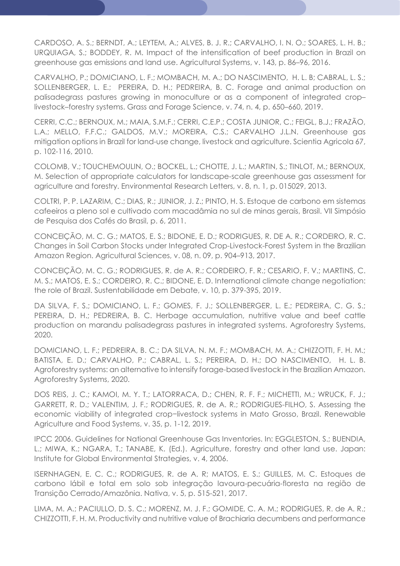CARDOSO, A. S.; BERNDT, A.; LEYTEM, A.; ALVES, B. J. R.; CARVALHO, I. N. O.; SOARES, L. H. B.; URQUIAGA, S.; BODDEY, R. M. Impact of the intensification of beef production in Brazil on greenhouse gas emissions and land use. Agricultural Systems, v. 143, p. 86–96, 2016.

CARVALHO, P.; DOMICIANO, L. F.; MOMBACH, M. A.; DO NASCIMENTO, H. L. B; CABRAL, L. S.; SOLLENBERGER, L. E.; PEREIRA, D. H.; PEDREIRA, B. C. Forage and animal production on palisadegrass pastures growing in monoculture or as a component of integrated crop– livestock–forestry systems. Grass and Forage Science, v. 74, n. 4, p. 650–660, 2019.

CERRI, C.C.; BERNOUX, M.; MAIA, S.M.F.; CERRI, C.E.P.; COSTA JUNIOR, C.; FEIGL, B.J.; FRAZÃO, L.A.; MELLO, F.F.C.; GALDOS, M.V.; MOREIRA, C.S.; CARVALHO J.L.N. Greenhouse gas mitigation options in Brazil for land-use change, livestock and agriculture. Scientia Agricola 67, p. 102-116, 2010.

COLOMB, V.; TOUCHEMOULIN, O.; BOCKEL, L.; CHOTTE, J. L.; MARTIN, S.; TINLOT, M.; BERNOUX, M. Selection of appropriate calculators for landscape-scale greenhouse gas assessment for agriculture and forestry. Environmental Research Letters, v. 8, n. 1, p. 015029, 2013.

COLTRI, P. P. LAZARIM, C.; DIAS, R.; JUNIOR, J. Z.; PINTO, H. S. Estoque de carbono em sistemas cafeeiros a pleno sol e cultivado com macadâmia no sul de minas gerais, Brasil. VII Simpósio de Pesquisa dos Cafés do Brasil, p. 6, 2011.

CONCEIÇÃO, M. C. G.; MATOS, E. S.; BIDONE, E. D.; RODRIGUES, R. DE A. R.; CORDEIRO, R. C. Changes in Soil Carbon Stocks under Integrated Crop-Livestock-Forest System in the Brazilian Amazon Region. Agricultural Sciences, v. 08, n. 09, p. 904–913, 2017.

CONCEIÇÃO, M. C. G.; RODRIGUES, R. de A. R.; CORDEIRO, F. R.; CESARIO, F. V.; MARTINS, C. M. S.; MATOS, E. S.; CORDEIRO, R. C.; BIDONE, E. D. International climate change negotiation: the role of Brazil. Sustentabilidade em Debate, v. 10, p. 379-395, 2019.

DA SILVA, F. S.; DOMICIANO, L. F.; GOMES, F. J.; SOLLENBERGER, L. E.; PEDREIRA, C. G. S.; PEREIRA, D. H.; PEDREIRA, B. C. Herbage accumulation, nutritive value and beef cattle production on marandu palisadegrass pastures in integrated systems. Agroforestry Systems, 2020.

DOMICIANO, L. F.; PEDREIRA, B. C.; DA SILVA, N. M. F.; MOMBACH, M. A.; CHIZZOTTI, F. H. M.; BATISTA, E. D.; CARVALHO, P.; CABRAL, L. S.; PEREIRA, D. H.; DO NASCIMENTO, H. L. B. Agroforestry systems: an alternative to intensify forage-based livestock in the Brazilian Amazon. Agroforestry Systems, 2020.

DOS REIS, J. C.; KAMOI, M. Y. T.; LATORRACA, D.; CHEN, R. F. F.; MICHETTI, M.; WRUCK, F. J.; GARRETT, R. D.; VALENTIM, J. F.; RODRIGUES, R. de A. R.; RODRIGUES-FILHO, S. Assessing the economic viability of integrated crop−livestock systems in Mato Grosso, Brazil. Renewable Agriculture and Food Systems, v. 35, p. 1-12, 2019.

IPCC 2006. Guidelines for National Greenhouse Gas Inventories. In: EGGLESTON, S.; BUENDIA, L.; MIWA, K.; NGARA, T.; TANABE, K. (Ed.). Agriculture, forestry and other land use. Japan: Institute for Global Environmental Strategies, v. 4, 2006.

ISERNHAGEN, E. C. C.; RODRIGUES, R. de A. R; MATOS, E. S.; GUILLES, M. C. Estoques de carbono lábil e total em solo sob integração lavoura-pecuária-floresta na região de Transição Cerrado/Amazônia. Nativa, v. 5, p. 515-521, 2017.

LIMA, M. A.; PACIULLO, D. S. C.; MORENZ, M. J. F.; GOMIDE, C. A. M.; RODRIGUES, R. de A. R.; CHIZZOTTI, F. H. M. Productivity and nutritive value of Brachiaria decumbens and performance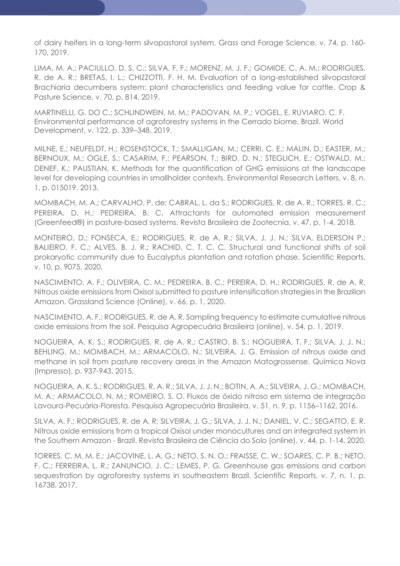of dairy heifers in a long-term silvopastoral system. Grass and Forage Science, v. 74, p. 160- 170, 2019.

LIMA, M. A.; PACIULLO, D. S. C.; SILVA, F. F.; MORENZ, M. J. F.; GOMIDE, C. A. M.; RODRIGUES, R. de A. R.; BRETAS, I. L.; CHIZZOTTI, F. H. M. Evaluation of a long-established silvopastoral Brachiaria decumbens system: plant characteristics and feeding value for cattle. Crop & Pasture Science, v. 70, p. 814, 2019.

MARTINELLI, G. DO C.; SCHLINDWEIN, M. M.; PADOVAN, M. P.; VOGEL, E. RUVIARO, C. F. Environmental performance of agroforestry systems in the Cerrado biome, Brazil. World Development, v. 122, p. 339–348, 2019.

MILNE, E.; NEUFELDT, H.; ROSENSTOCK, T.; SMALLIGAN, M.; CERRI, C. E.; MALIN, D.; EASTER, M.; BERNOUX, M.; OGLE, S.; CASARIM, F.; PEARSON, T.; BIRD, D. N.; STEGLICH, E.; OSTWALD, M.; DENEF, K.; PAUSTIAN, K. Methods for the quantification of GHG emissions at the landscape level for developing countries in smallholder contexts. Environmental Research Letters, v. 8, n. 1, p. 015019, 2013.

MOMBACH, M. A.; CARVALHO, P. de; CABRAL, L. da S.; RODRIGUES, R. de A. R.; TORRES, R. C.; PEREIRA, D. H.; PEDREIRA, B. C. Attractants for automated emission measurement (Greenfeed®) in pasture-based systems. Revista Brasileira de Zootecnia, v. 47, p. 1-4, 2018.

MONTEIRO, D.; FONSECA, E.; RODRIGUES, R. de A. R.; SILVA, J. J. N.; SILVA, ELDERSON P.; BALIEIRO, F. C.; ALVES, B. J. R.; RACHID, C. T. C. C. Structural and functional shifts of soil prokaryotic community due to Eucalyptus plantation and rotation phase. Scientific Reports, v. 10, p. 9075, 2020.

NASCIMENTO, A. F.; OLIVEIRA, C. M.; PEDREIRA, B. C.; PEREIRA, D. H.; RODRIGUES, R. de A. R. Nitrous oxide emissions from Oxisol submitted to pasture intensification strategies in the Brazilian Amazon. Grassland Science (Online), v. 66, p. 1, 2020.

NASCIMENTO, A. F.; RODRIGUES, R. de A. R. Sampling frequency to estimate cumulative nitrous oxide emissions from the soil. Pesquisa Agropecuária Brasileira (online), v. 54, p. 1, 2019.

NOGUEIRA, A. K. S.; RODRIGUES, R. de A. R.; CASTRO, B. S.; NOGUEIRA, T. F.; SILVA, J. J. N.; BEHLING, M.; MOMBACH, M.; ARMACOLO, N.; SILVEIRA, J. G. Emission of nitrous oxide and methane in soil from pasture recovery areas in the Amazon Matogrossense. Química Nova (Impresso), p. 937-943, 2015.

NOGUEIRA, A. K. S.; RODRIGUES, R. A. R.; SILVA, J. J. N.; BOTIN, A. A.; SILVEIRA, J. G.; MOMBACH, M. A.; ARMACOLO, N. M.; ROMEIRO, S. O. Fluxos de óxido nitroso em sistema de integração Lavoura-Pecuária-Floresta. Pesquisa Agropecuária Brasileira, v. 51, n. 9, p. 1156–1162, 2016.

SILVA, A. F.; RODRIGUES, R. de A. R; SILVEIRA, J. G.; SILVA, J. J. N.; DANIEL, V. C.; SEGATTO, E. R. Nitrous oxide emissions from a tropical Oxisol under monocultures and an integrated system in the Southern Amazon - Brazil. Revista Brasileira de Ciência do Solo (online), v. 44, p. 1-14, 2020.

TORRES, C. M. M. E.; JACOVINE, L. A. G.; NETO, S. N. O.; FRAISSE, C. W.; SOARES, C. P. B.; NETO, F. C.; FERREIRA, L. R.; ZANUNCIO, J. C.; LEMES, P. G. Greenhouse gas emissions and carbon sequestration by agroforestry systems in southeastern Brazil. Scientific Reports, v. 7, n. 1, p. 16738, 2017.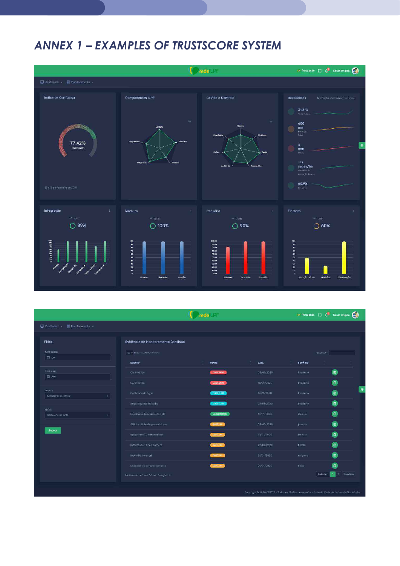## ANNEX 1 – EXAMPLES OF TRUSTSCORE SYSTEM



|                                 |                                       | rede les         |            |                | → Pertuguês [ ] ( ) Santa Brigida ( )                                                                      |
|---------------------------------|---------------------------------------|------------------|------------|----------------|------------------------------------------------------------------------------------------------------------|
| □ Dashboard > ■ Monitoramento > |                                       |                  |            |                |                                                                                                            |
| Filtro                          | Evidência de Monitoramento Continuo   |                  |            |                |                                                                                                            |
| DATA INICIAL<br>日 De            | 10 M RESULTADOS POR PÁGINA            |                  |            |                | PESQUISAR                                                                                                  |
|                                 | <b>EVENTO</b>                         | <b>FONTE</b>     | DATA       | <b>USUÁRIO</b> |                                                                                                            |
| <b>DATA FINAL</b><br>自 Até      | Car invalido                          | CADASTRO         | 03/01/2020 | Imarinho       | $\bullet$                                                                                                  |
|                                 | Car invalido                          | CADASTRO         | 18/01/2020 | Imarinho       | $\textcolor{red}{\blacksquare}$                                                                            |
| EVENTO<br>Selecione o Evento    | Qualidade da água                     | <b>CHECKLIST</b> | 17/01/2020 | Imarinho       | ø                                                                                                          |
|                                 | Segurança do trabalho                 | <b>CHECKLIST</b> | 22/01/2020 | Imarinho       | 0                                                                                                          |
| FONTE                           | Resultado da análise do solo          | LABORATORIO      | 19/01/2020 | rbueno         | O                                                                                                          |
| Selecione a Fonte               |                                       |                  |            |                |                                                                                                            |
|                                 | ARL insuficiente para o biorria       | <b>SAFEWEE</b>   | 03/01/2020 | <b>jarruda</b> | $\hbox{\bf 1}$                                                                                             |
| <b>Buscar</b>                   | Integração 12 não contere             | <b>SATÉLITE</b>  | 19/01/2020 | tmoura         | Ó                                                                                                          |
|                                 | Integração T1 não confere             | <b>SATOLITE</b>  | 22/01/2020 | bmelo          | $\left( 0\right)$                                                                                          |
|                                 | Incendio florestal                    | <b>SATELITE</b>  | 21/01/2020 | tmiyano        | $\boxdot$                                                                                                  |
|                                 | Suspeita de deflorestamento           | <b>SATÉLITE</b>  | 21/01/2020 | fleite         | $\boxdot$                                                                                                  |
|                                 | Mostrando de 1 até 10 de 16 registros |                  |            |                | $\begin{array}{ c c c c c }\n\hline\n\textbf{1} & \textbf{2} & \textbf{Pr\'oximo} \end{array}$<br>Anterior |